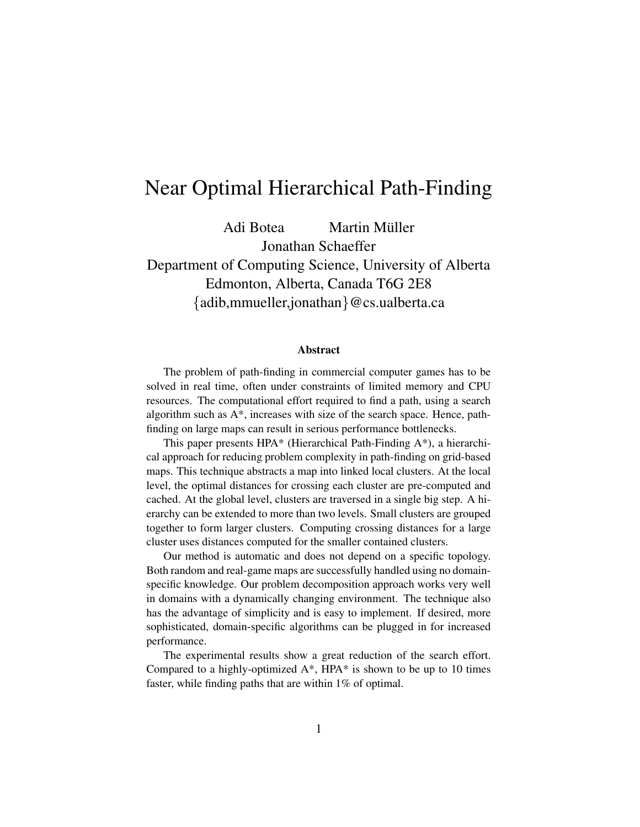# Near Optimal Hierarchical Path-Finding

Adi Botea Martin Müller Jonathan Schaeffer Department of Computing Science, University of Alberta Edmonton, Alberta, Canada T6G 2E8 {adib,mmueller,jonathan}@cs.ualberta.ca

#### **Abstract**

The problem of path-finding in commercial computer games has to be solved in real time, often under constraints of limited memory and CPU resources. The computational effort required to find a path, using a search algorithm such as A\*, increases with size of the search space. Hence, pathfinding on large maps can result in serious performance bottlenecks.

This paper presents HPA\* (Hierarchical Path-Finding A\*), a hierarchical approach for reducing problem complexity in path-finding on grid-based maps. This technique abstracts a map into linked local clusters. At the local level, the optimal distances for crossing each cluster are pre-computed and cached. At the global level, clusters are traversed in a single big step. A hierarchy can be extended to more than two levels. Small clusters are grouped together to form larger clusters. Computing crossing distances for a large cluster uses distances computed for the smaller contained clusters.

Our method is automatic and does not depend on a specific topology. Both random and real-game maps are successfully handled using no domainspecific knowledge. Our problem decomposition approach works very well in domains with a dynamically changing environment. The technique also has the advantage of simplicity and is easy to implement. If desired, more sophisticated, domain-specific algorithms can be plugged in for increased performance.

The experimental results show a great reduction of the search effort. Compared to a highly-optimized  $A^*$ , HPA $^*$  is shown to be up to 10 times faster, while finding paths that are within 1% of optimal.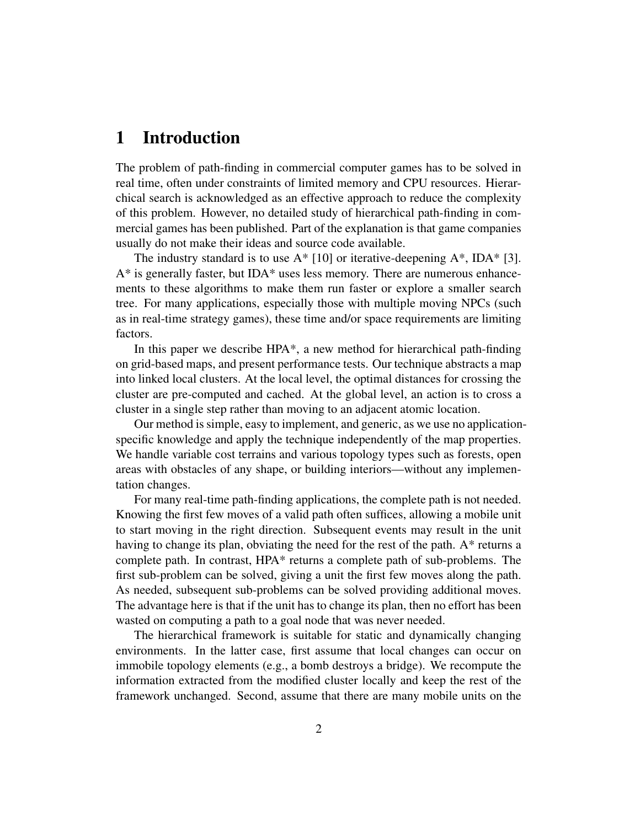## **1 Introduction**

The problem of path-finding in commercial computer games has to be solved in real time, often under constraints of limited memory and CPU resources. Hierarchical search is acknowledged as an effective approach to reduce the complexity of this problem. However, no detailed study of hierarchical path-finding in commercial games has been published. Part of the explanation is that game companies usually do not make their ideas and source code available.

The industry standard is to use  $A^*$  [10] or iterative-deepening  $A^*$ , IDA\* [3].  $A^*$  is generally faster, but IDA\* uses less memory. There are numerous enhancements to these algorithms to make them run faster or explore a smaller search tree. For many applications, especially those with multiple moving NPCs (such as in real-time strategy games), these time and/or space requirements are limiting factors.

In this paper we describe HPA\*, a new method for hierarchical path-finding on grid-based maps, and present performance tests. Our technique abstracts a map into linked local clusters. At the local level, the optimal distances for crossing the cluster are pre-computed and cached. At the global level, an action is to cross a cluster in a single step rather than moving to an adjacent atomic location.

Our method issimple, easy to implement, and generic, as we use no applicationspecific knowledge and apply the technique independently of the map properties. We handle variable cost terrains and various topology types such as forests, open areas with obstacles of any shape, or building interiors—without any implementation changes.

For many real-time path-finding applications, the complete path is not needed. Knowing the first few moves of a valid path often suffices, allowing a mobile unit to start moving in the right direction. Subsequent events may result in the unit having to change its plan, obviating the need for the rest of the path. A\* returns a complete path. In contrast, HPA\* returns a complete path of sub-problems. The first sub-problem can be solved, giving a unit the first few moves along the path. As needed, subsequent sub-problems can be solved providing additional moves. The advantage here is that if the unit has to change its plan, then no effort has been wasted on computing a path to a goal node that was never needed.

The hierarchical framework is suitable for static and dynamically changing environments. In the latter case, first assume that local changes can occur on immobile topology elements (e.g., a bomb destroys a bridge). We recompute the information extracted from the modified cluster locally and keep the rest of the framework unchanged. Second, assume that there are many mobile units on the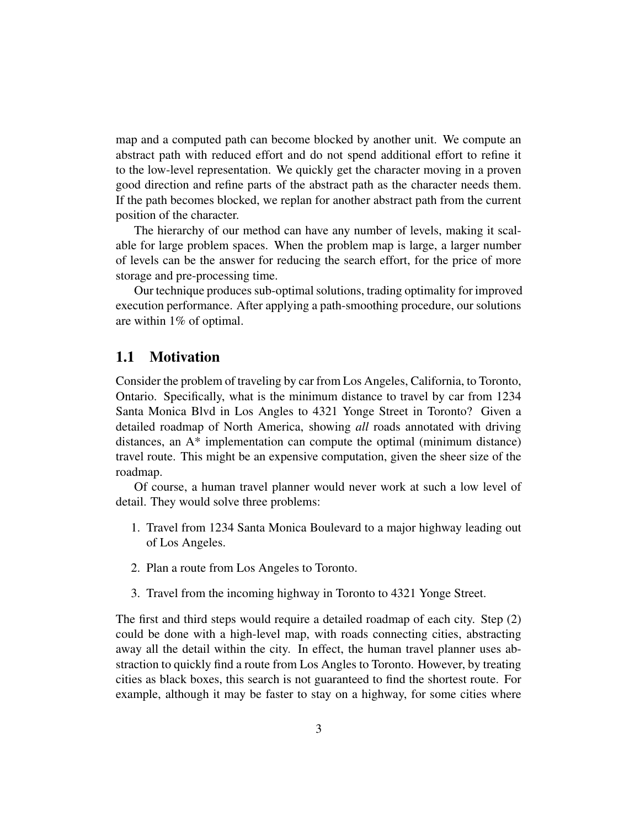map and a computed path can become blocked by another unit. We compute an abstract path with reduced effort and do not spend additional effort to refine it to the low-level representation. We quickly get the character moving in a proven good direction and refine parts of the abstract path as the character needs them. If the path becomes blocked, we replan for another abstract path from the current position of the character.

The hierarchy of our method can have any number of levels, making it scalable for large problem spaces. When the problem map is large, a larger number of levels can be the answer for reducing the search effort, for the price of more storage and pre-processing time.

Our technique produces sub-optimal solutions, trading optimality for improved execution performance. After applying a path-smoothing procedure, our solutions are within 1% of optimal.

### **1.1 Motivation**

Consider the problem of traveling by car from Los Angeles, California, to Toronto, Ontario. Specifically, what is the minimum distance to travel by car from 1234 Santa Monica Blvd in Los Angles to 4321 Yonge Street in Toronto? Given a detailed roadmap of North America, showing *all* roads annotated with driving distances, an A\* implementation can compute the optimal (minimum distance) travel route. This might be an expensive computation, given the sheer size of the roadmap.

Of course, a human travel planner would never work at such a low level of detail. They would solve three problems:

- 1. Travel from 1234 Santa Monica Boulevard to a major highway leading out of Los Angeles.
- 2. Plan a route from Los Angeles to Toronto.
- 3. Travel from the incoming highway in Toronto to 4321 Yonge Street.

The first and third steps would require a detailed roadmap of each city. Step (2) could be done with a high-level map, with roads connecting cities, abstracting away all the detail within the city. In effect, the human travel planner uses abstraction to quickly find a route from Los Angles to Toronto. However, by treating cities as black boxes, this search is not guaranteed to find the shortest route. For example, although it may be faster to stay on a highway, for some cities where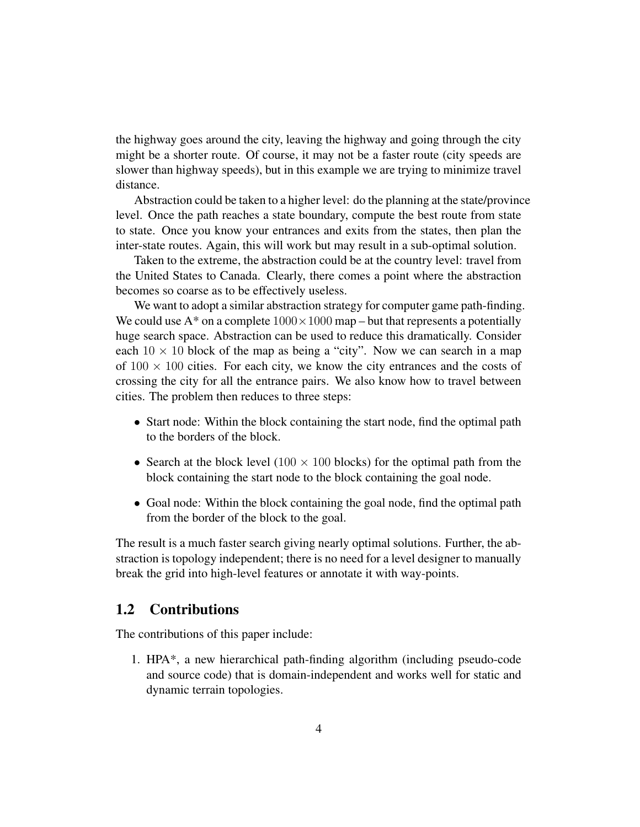the highway goes around the city, leaving the highway and going through the city might be a shorter route. Of course, it may not be a faster route (city speeds are slower than highway speeds), but in this example we are trying to minimize travel distance.

Abstraction could be taken to a higher level: do the planning at the state/province level. Once the path reaches a state boundary, compute the best route from state to state. Once you know your entrances and exits from the states, then plan the inter-state routes. Again, this will work but may result in a sub-optimal solution.

Taken to the extreme, the abstraction could be at the country level: travel from the United States to Canada. Clearly, there comes a point where the abstraction becomes so coarse as to be effectively useless.

We want to adopt a similar abstraction strategy for computer game path-finding. We could use  $A^*$  on a complete  $1000 \times 1000$  map – but that represents a potentially huge search space. Abstraction can be used to reduce this dramatically. Consider each  $10 \times 10$  block of the map as being a "city". Now we can search in a map of  $100 \times 100$  cities. For each city, we know the city entrances and the costs of crossing the city for all the entrance pairs. We also know how to travel between cities. The problem then reduces to three steps:

- Start node: Within the block containing the start node, find the optimal path to the borders of the block.
- Search at the block level (100  $\times$  100 blocks) for the optimal path from the block containing the start node to the block containing the goal node.
- Goal node: Within the block containing the goal node, find the optimal path from the border of the block to the goal.

The result is a much faster search giving nearly optimal solutions. Further, the abstraction is topology independent; there is no need for a level designer to manually break the grid into high-level features or annotate it with way-points.

## **1.2 Contributions**

The contributions of this paper include:

1. HPA\*, a new hierarchical path-finding algorithm (including pseudo-code and source code) that is domain-independent and works well for static and dynamic terrain topologies.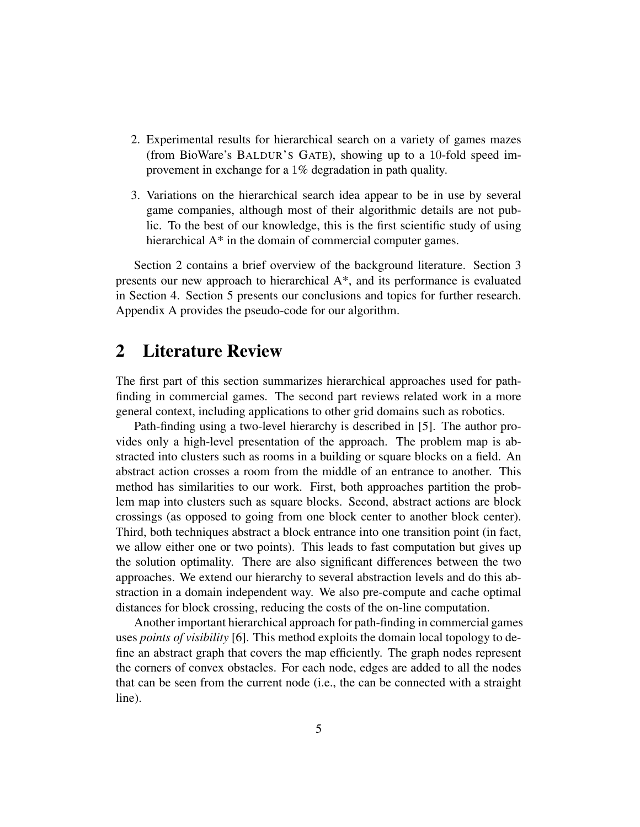- 2. Experimental results for hierarchical search on a variety of games mazes (from BioWare's BALDUR'S GATE), showing up to a 10-fold speed improvement in exchange for a 1% degradation in path quality.
- 3. Variations on the hierarchical search idea appear to be in use by several game companies, although most of their algorithmic details are not public. To the best of our knowledge, this is the first scientific study of using hierarchical A<sup>\*</sup> in the domain of commercial computer games.

Section 2 contains a brief overview of the background literature. Section 3 presents our new approach to hierarchical A\*, and its performance is evaluated in Section 4. Section 5 presents our conclusions and topics for further research. Appendix A provides the pseudo-code for our algorithm.

## **2 Literature Review**

The first part of this section summarizes hierarchical approaches used for pathfinding in commercial games. The second part reviews related work in a more general context, including applications to other grid domains such as robotics.

Path-finding using a two-level hierarchy is described in [5]. The author provides only a high-level presentation of the approach. The problem map is abstracted into clusters such as rooms in a building or square blocks on a field. An abstract action crosses a room from the middle of an entrance to another. This method has similarities to our work. First, both approaches partition the problem map into clusters such as square blocks. Second, abstract actions are block crossings (as opposed to going from one block center to another block center). Third, both techniques abstract a block entrance into one transition point (in fact, we allow either one or two points). This leads to fast computation but gives up the solution optimality. There are also significant differences between the two approaches. We extend our hierarchy to several abstraction levels and do this abstraction in a domain independent way. We also pre-compute and cache optimal distances for block crossing, reducing the costs of the on-line computation.

Another important hierarchical approach for path-finding in commercial games uses *points of visibility* [6]. This method exploits the domain local topology to define an abstract graph that covers the map efficiently. The graph nodes represent the corners of convex obstacles. For each node, edges are added to all the nodes that can be seen from the current node (i.e., the can be connected with a straight line).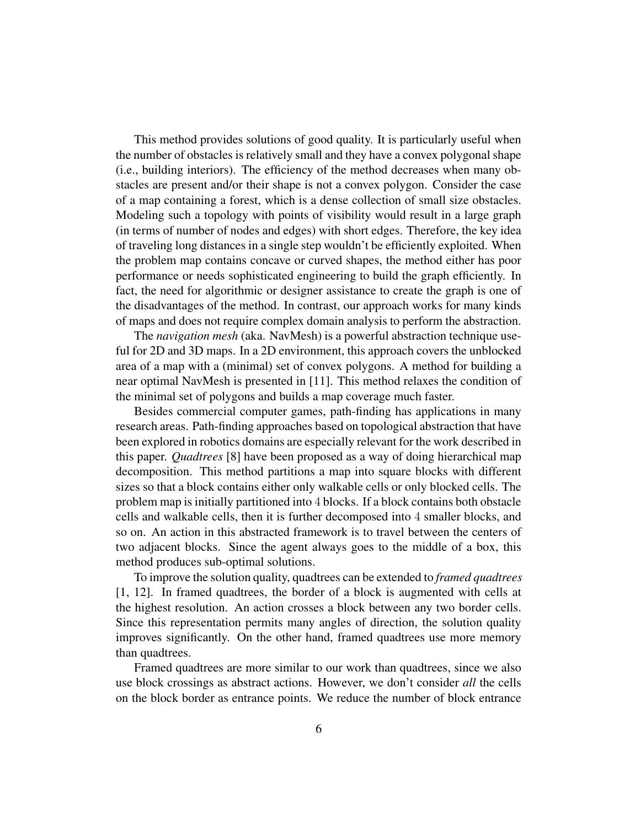This method provides solutions of good quality. It is particularly useful when the number of obstacles is relatively small and they have a convex polygonal shape (i.e., building interiors). The efficiency of the method decreases when many obstacles are present and/or their shape is not a convex polygon. Consider the case of a map containing a forest, which is a dense collection of small size obstacles. Modeling such a topology with points of visibility would result in a large graph (in terms of number of nodes and edges) with short edges. Therefore, the key idea of traveling long distances in a single step wouldn't be efficiently exploited. When the problem map contains concave or curved shapes, the method either has poor performance or needs sophisticated engineering to build the graph efficiently. In fact, the need for algorithmic or designer assistance to create the graph is one of the disadvantages of the method. In contrast, our approach works for many kinds of maps and does not require complex domain analysis to perform the abstraction.

The *navigation mesh* (aka. NavMesh) is a powerful abstraction technique useful for 2D and 3D maps. In a 2D environment, this approach covers the unblocked area of a map with a (minimal) set of convex polygons. A method for building a near optimal NavMesh is presented in [11]. This method relaxes the condition of the minimal set of polygons and builds a map coverage much faster.

Besides commercial computer games, path-finding has applications in many research areas. Path-finding approaches based on topological abstraction that have been explored in robotics domains are especially relevant for the work described in this paper. *Quadtrees* [8] have been proposed as a way of doing hierarchical map decomposition. This method partitions a map into square blocks with different sizes so that a block contains either only walkable cells or only blocked cells. The problem map is initially partitioned into 4 blocks. If a block contains both obstacle cells and walkable cells, then it is further decomposed into 4 smaller blocks, and so on. An action in this abstracted framework is to travel between the centers of two adjacent blocks. Since the agent always goes to the middle of a box, this method produces sub-optimal solutions.

To improve the solution quality, quadtrees can be extended to *framed quadtrees* [1, 12]. In framed quadtrees, the border of a block is augmented with cells at the highest resolution. An action crosses a block between any two border cells. Since this representation permits many angles of direction, the solution quality improves significantly. On the other hand, framed quadtrees use more memory than quadtrees.

Framed quadtrees are more similar to our work than quadtrees, since we also use block crossings as abstract actions. However, we don't consider *all* the cells on the block border as entrance points. We reduce the number of block entrance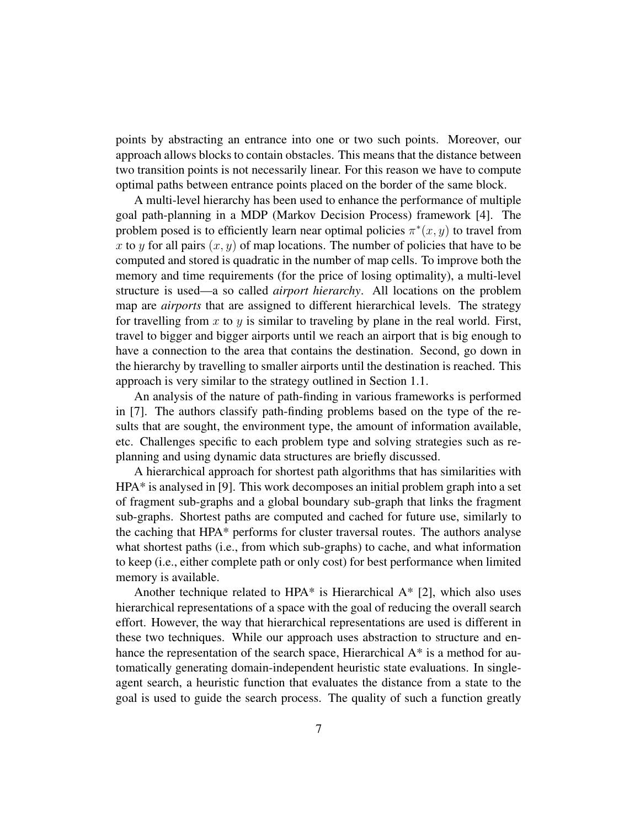points by abstracting an entrance into one or two such points. Moreover, our approach allows blocks to contain obstacles. This means that the distance between two transition points is not necessarily linear. For this reason we have to compute optimal paths between entrance points placed on the border of the same block.

A multi-level hierarchy has been used to enhance the performance of multiple goal path-planning in a MDP (Markov Decision Process) framework [4]. The problem posed is to efficiently learn near optimal policies  $\pi^*(x, y)$  to travel from x to y for all pairs  $(x, y)$  of map locations. The number of policies that have to be computed and stored is quadratic in the number of map cells. To improve both the memory and time requirements (for the price of losing optimality), a multi-level structure is used—a so called *airport hierarchy*. All locations on the problem map are *airports* that are assigned to different hierarchical levels. The strategy for travelling from  $x$  to  $y$  is similar to traveling by plane in the real world. First, travel to bigger and bigger airports until we reach an airport that is big enough to have a connection to the area that contains the destination. Second, go down in the hierarchy by travelling to smaller airports until the destination is reached. This approach is very similar to the strategy outlined in Section 1.1.

An analysis of the nature of path-finding in various frameworks is performed in [7]. The authors classify path-finding problems based on the type of the results that are sought, the environment type, the amount of information available, etc. Challenges specific to each problem type and solving strategies such as replanning and using dynamic data structures are briefly discussed.

A hierarchical approach for shortest path algorithms that has similarities with HPA\* is analysed in [9]. This work decomposes an initial problem graph into a set of fragment sub-graphs and a global boundary sub-graph that links the fragment sub-graphs. Shortest paths are computed and cached for future use, similarly to the caching that HPA\* performs for cluster traversal routes. The authors analyse what shortest paths (i.e., from which sub-graphs) to cache, and what information to keep (i.e., either complete path or only cost) for best performance when limited memory is available.

Another technique related to HPA $*$  is Hierarchical A $*$  [2], which also uses hierarchical representations of a space with the goal of reducing the overall search effort. However, the way that hierarchical representations are used is different in these two techniques. While our approach uses abstraction to structure and enhance the representation of the search space, Hierarchical A<sup>\*</sup> is a method for automatically generating domain-independent heuristic state evaluations. In singleagent search, a heuristic function that evaluates the distance from a state to the goal is used to guide the search process. The quality of such a function greatly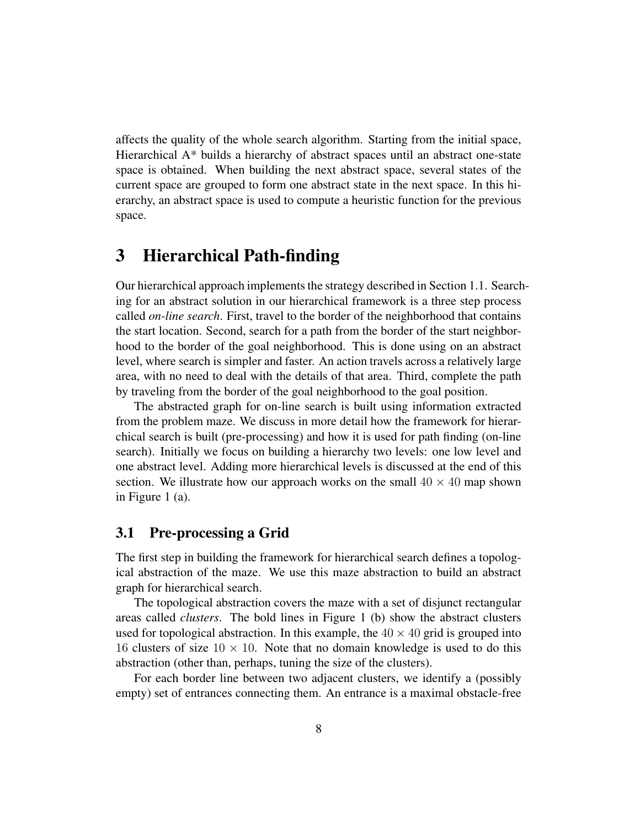affects the quality of the whole search algorithm. Starting from the initial space, Hierarchical A\* builds a hierarchy of abstract spaces until an abstract one-state space is obtained. When building the next abstract space, several states of the current space are grouped to form one abstract state in the next space. In this hierarchy, an abstract space is used to compute a heuristic function for the previous space.

## **3 Hierarchical Path-finding**

Our hierarchical approach implements the strategy described in Section 1.1. Searching for an abstract solution in our hierarchical framework is a three step process called *on-line search*. First, travel to the border of the neighborhood that contains the start location. Second, search for a path from the border of the start neighborhood to the border of the goal neighborhood. This is done using on an abstract level, where search is simpler and faster. An action travels across a relatively large area, with no need to deal with the details of that area. Third, complete the path by traveling from the border of the goal neighborhood to the goal position.

The abstracted graph for on-line search is built using information extracted from the problem maze. We discuss in more detail how the framework for hierarchical search is built (pre-processing) and how it is used for path finding (on-line search). Initially we focus on building a hierarchy two levels: one low level and one abstract level. Adding more hierarchical levels is discussed at the end of this section. We illustrate how our approach works on the small  $40 \times 40$  map shown in Figure 1 (a).

## **3.1 Pre-processing a Grid**

The first step in building the framework for hierarchical search defines a topological abstraction of the maze. We use this maze abstraction to build an abstract graph for hierarchical search.

The topological abstraction covers the maze with a set of disjunct rectangular areas called *clusters*. The bold lines in Figure 1 (b) show the abstract clusters used for topological abstraction. In this example, the  $40 \times 40$  grid is grouped into 16 clusters of size  $10 \times 10$ . Note that no domain knowledge is used to do this abstraction (other than, perhaps, tuning the size of the clusters).

For each border line between two adjacent clusters, we identify a (possibly empty) set of entrances connecting them. An entrance is a maximal obstacle-free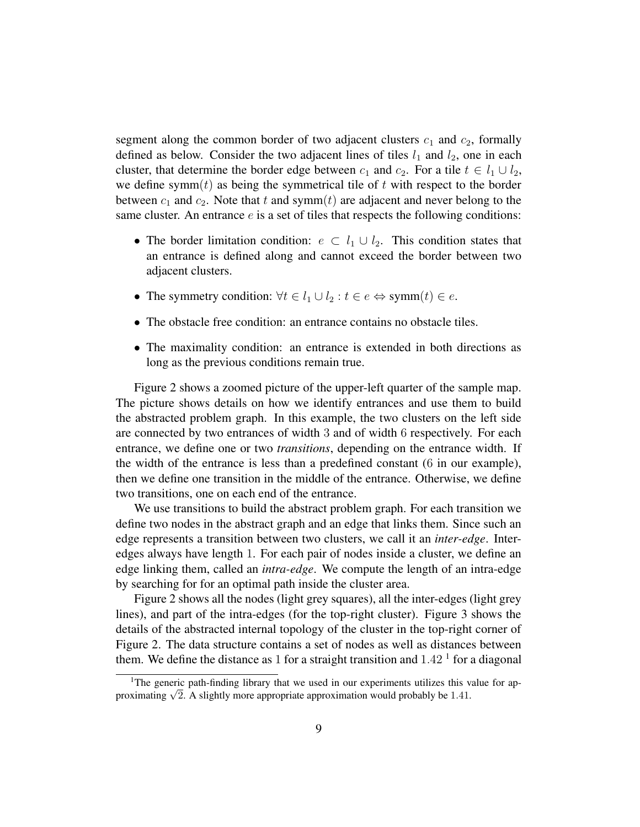segment along the common border of two adjacent clusters  $c_1$  and  $c_2$ , formally defined as below. Consider the two adjacent lines of tiles  $l_1$  and  $l_2$ , one in each cluster, that determine the border edge between  $c_1$  and  $c_2$ . For a tile  $t \in l_1 \cup l_2$ , we define symm(t) as being the symmetrical tile of t with respect to the border between  $c_1$  and  $c_2$ . Note that t and symm(t) are adjacent and never belong to the same cluster. An entrance  $e$  is a set of tiles that respects the following conditions:

- The border limitation condition:  $e \subset l_1 \cup l_2$ . This condition states that an entrance is defined along and cannot exceed the border between two adjacent clusters.
- The symmetry condition:  $\forall t \in l_1 \cup l_2 : t \in e \Leftrightarrow \text{symm}(t) \in e$ .
- The obstacle free condition: an entrance contains no obstacle tiles.
- The maximality condition: an entrance is extended in both directions as long as the previous conditions remain true.

Figure 2 shows a zoomed picture of the upper-left quarter of the sample map. The picture shows details on how we identify entrances and use them to build the abstracted problem graph. In this example, the two clusters on the left side are connected by two entrances of width 3 and of width 6 respectively. For each entrance, we define one or two *transitions*, depending on the entrance width. If the width of the entrance is less than a predefined constant (6 in our example), then we define one transition in the middle of the entrance. Otherwise, we define two transitions, one on each end of the entrance.

We use transitions to build the abstract problem graph. For each transition we define two nodes in the abstract graph and an edge that links them. Since such an edge represents a transition between two clusters, we call it an *inter-edge*. Interedges always have length 1. For each pair of nodes inside a cluster, we define an edge linking them, called an *intra-edge*. We compute the length of an intra-edge by searching for for an optimal path inside the cluster area.

Figure 2 shows all the nodes (light grey squares), all the inter-edges (light grey lines), and part of the intra-edges (for the top-right cluster). Figure 3 shows the details of the abstracted internal topology of the cluster in the top-right corner of Figure 2. The data structure contains a set of nodes as well as distances between them. We define the distance as 1 for a straight transition and  $1.42<sup>1</sup>$  for a diagonal

<sup>&</sup>lt;sup>1</sup>The generic path-finding library that we used in our experiments utilizes this value for approximating  $\sqrt{2}$ . A slightly more appropriate approximation would probably be 1.41.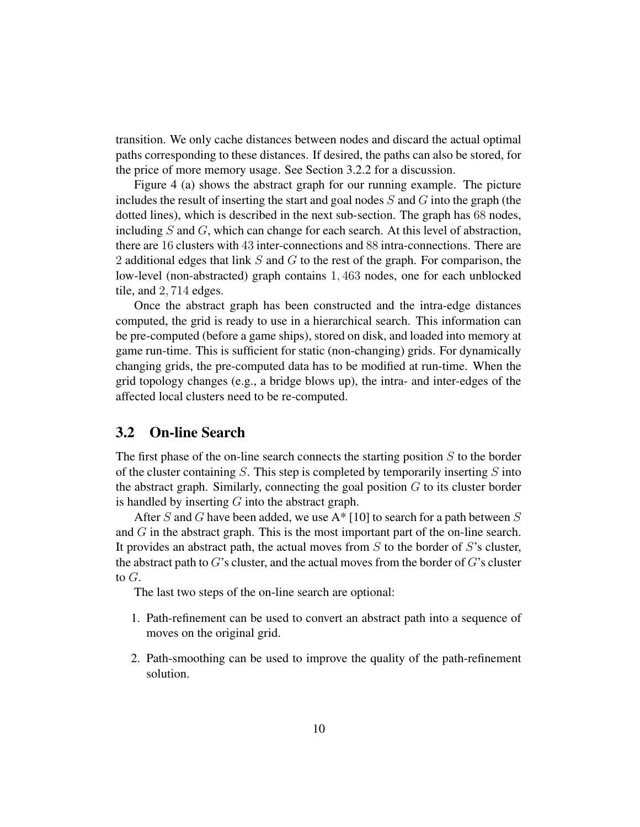transition. We only cache distances between nodes and discard the actual optimal paths corresponding to these distances. If desired, the paths can also be stored, for the price of more memory usage. See Section 3.2.2 for a discussion.

Figure 4 (a) shows the abstract graph for our running example. The picture includes the result of inserting the start and goal nodes  $S$  and  $G$  into the graph (the dotted lines), which is described in the next sub-section. The graph has 68 nodes, including  $S$  and  $G$ , which can change for each search. At this level of abstraction, there are 16 clusters with 43 inter-connections and 88 intra-connections. There are 2 additional edges that link  $S$  and  $G$  to the rest of the graph. For comparison, the low-level (non-abstracted) graph contains 1, 463 nodes, one for each unblocked tile, and 2, 714 edges.

Once the abstract graph has been constructed and the intra-edge distances computed, the grid is ready to use in a hierarchical search. This information can be pre-computed (before a game ships), stored on disk, and loaded into memory at game run-time. This is sufficient for static (non-changing) grids. For dynamically changing grids, the pre-computed data has to be modified at run-time. When the grid topology changes (e.g., a bridge blows up), the intra- and inter-edges of the affected local clusters need to be re-computed.

## **3.2 On-line Search**

The first phase of the on-line search connects the starting position  $S$  to the border of the cluster containing  $S$ . This step is completed by temporarily inserting  $S$  into the abstract graph. Similarly, connecting the goal position  $G$  to its cluster border is handled by inserting  $G$  into the abstract graph.

After S and G have been added, we use  $A^*$  [10] to search for a path between S and  $G$  in the abstract graph. This is the most important part of the on-line search. It provides an abstract path, the actual moves from  $S$  to the border of  $S$ 's cluster, the abstract path to  $G$ 's cluster, and the actual moves from the border of  $G$ 's cluster to G.

The last two steps of the on-line search are optional:

- 1. Path-refinement can be used to convert an abstract path into a sequence of moves on the original grid.
- 2. Path-smoothing can be used to improve the quality of the path-refinement solution.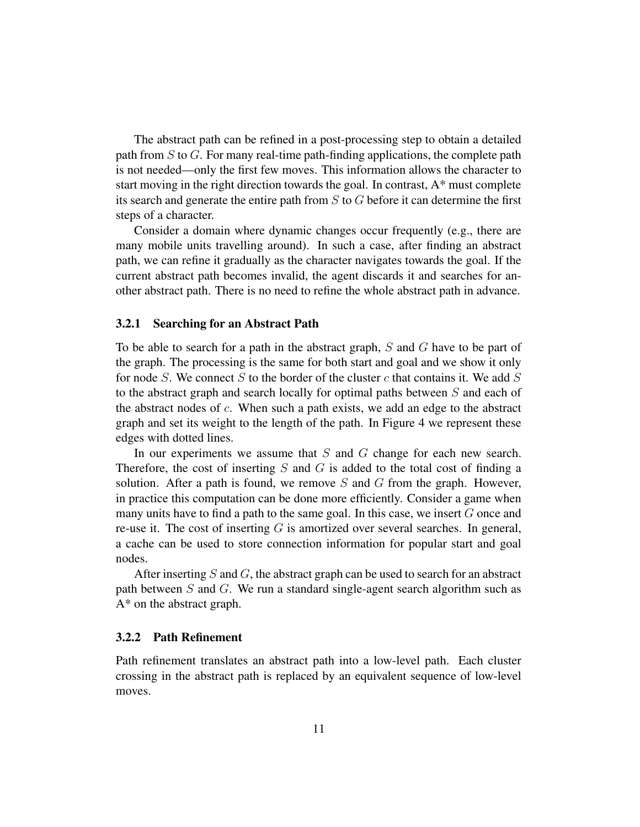The abstract path can be refined in a post-processing step to obtain a detailed path from S to G. For many real-time path-finding applications, the complete path is not needed—only the first few moves. This information allows the character to start moving in the right direction towards the goal. In contrast, A\* must complete its search and generate the entire path from  $S$  to  $G$  before it can determine the first steps of a character.

Consider a domain where dynamic changes occur frequently (e.g., there are many mobile units travelling around). In such a case, after finding an abstract path, we can refine it gradually as the character navigates towards the goal. If the current abstract path becomes invalid, the agent discards it and searches for another abstract path. There is no need to refine the whole abstract path in advance.

#### **3.2.1 Searching for an Abstract Path**

To be able to search for a path in the abstract graph, S and G have to be part of the graph. The processing is the same for both start and goal and we show it only for node S. We connect S to the border of the cluster c that contains it. We add S to the abstract graph and search locally for optimal paths between S and each of the abstract nodes of  $c$ . When such a path exists, we add an edge to the abstract graph and set its weight to the length of the path. In Figure 4 we represent these edges with dotted lines.

In our experiments we assume that  $S$  and  $G$  change for each new search. Therefore, the cost of inserting  $S$  and  $G$  is added to the total cost of finding a solution. After a path is found, we remove  $S$  and  $G$  from the graph. However, in practice this computation can be done more efficiently. Consider a game when many units have to find a path to the same goal. In this case, we insert G once and re-use it. The cost of inserting  $G$  is amortized over several searches. In general, a cache can be used to store connection information for popular start and goal nodes.

After inserting  $S$  and  $G$ , the abstract graph can be used to search for an abstract path between S and G. We run a standard single-agent search algorithm such as A\* on the abstract graph.

#### **3.2.2 Path Refinement**

Path refinement translates an abstract path into a low-level path. Each cluster crossing in the abstract path is replaced by an equivalent sequence of low-level moves.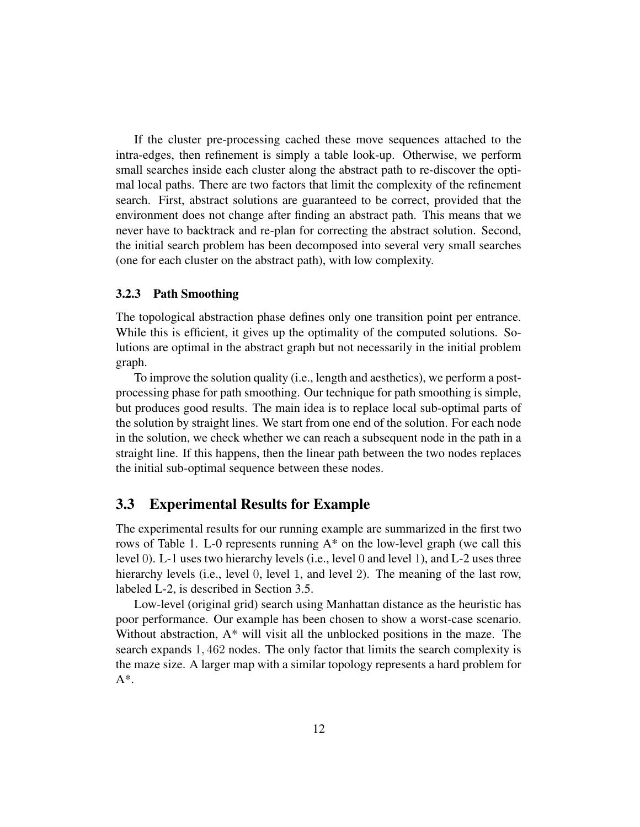If the cluster pre-processing cached these move sequences attached to the intra-edges, then refinement is simply a table look-up. Otherwise, we perform small searches inside each cluster along the abstract path to re-discover the optimal local paths. There are two factors that limit the complexity of the refinement search. First, abstract solutions are guaranteed to be correct, provided that the environment does not change after finding an abstract path. This means that we never have to backtrack and re-plan for correcting the abstract solution. Second, the initial search problem has been decomposed into several very small searches (one for each cluster on the abstract path), with low complexity.

#### **3.2.3 Path Smoothing**

The topological abstraction phase defines only one transition point per entrance. While this is efficient, it gives up the optimality of the computed solutions. Solutions are optimal in the abstract graph but not necessarily in the initial problem graph.

To improve the solution quality (i.e., length and aesthetics), we perform a postprocessing phase for path smoothing. Our technique for path smoothing is simple, but produces good results. The main idea is to replace local sub-optimal parts of the solution by straight lines. We start from one end of the solution. For each node in the solution, we check whether we can reach a subsequent node in the path in a straight line. If this happens, then the linear path between the two nodes replaces the initial sub-optimal sequence between these nodes.

### **3.3 Experimental Results for Example**

The experimental results for our running example are summarized in the first two rows of Table 1. L-0 represents running A\* on the low-level graph (we call this level 0). L-1 uses two hierarchy levels (i.e., level 0 and level 1), and L-2 uses three hierarchy levels (i.e., level 0, level 1, and level 2). The meaning of the last row, labeled L-2, is described in Section 3.5.

Low-level (original grid) search using Manhattan distance as the heuristic has poor performance. Our example has been chosen to show a worst-case scenario. Without abstraction, A\* will visit all the unblocked positions in the maze. The search expands 1, 462 nodes. The only factor that limits the search complexity is the maze size. A larger map with a similar topology represents a hard problem for  $A^*$ .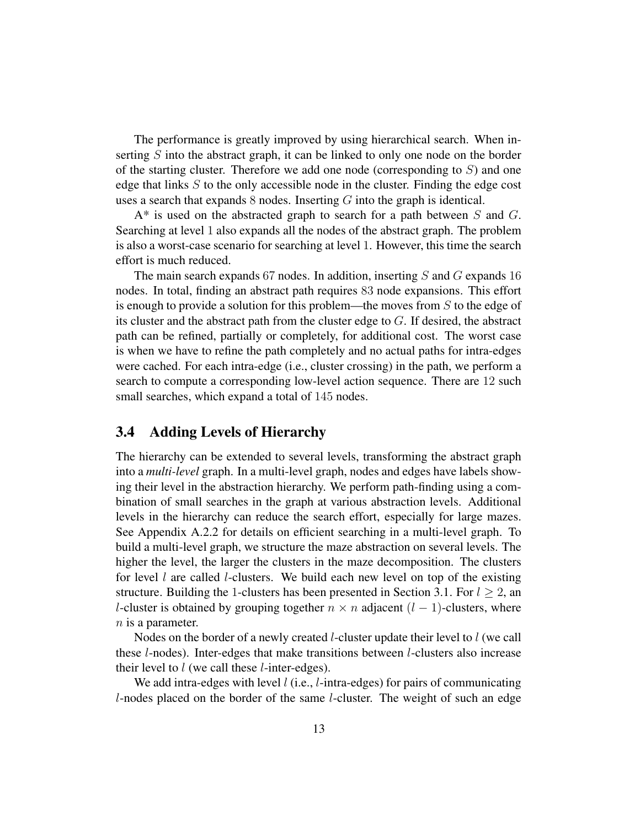The performance is greatly improved by using hierarchical search. When inserting S into the abstract graph, it can be linked to only one node on the border of the starting cluster. Therefore we add one node (corresponding to  $S$ ) and one edge that links  $S$  to the only accessible node in the cluster. Finding the edge cost uses a search that expands  $8$  nodes. Inserting  $G$  into the graph is identical.

 $A^*$  is used on the abstracted graph to search for a path between S and G. Searching at level 1 also expands all the nodes of the abstract graph. The problem is also a worst-case scenario for searching at level 1. However, this time the search effort is much reduced.

The main search expands 67 nodes. In addition, inserting  $S$  and  $G$  expands 16 nodes. In total, finding an abstract path requires 83 node expansions. This effort is enough to provide a solution for this problem—the moves from  $S$  to the edge of its cluster and the abstract path from the cluster edge to G. If desired, the abstract path can be refined, partially or completely, for additional cost. The worst case is when we have to refine the path completely and no actual paths for intra-edges were cached. For each intra-edge (i.e., cluster crossing) in the path, we perform a search to compute a corresponding low-level action sequence. There are 12 such small searches, which expand a total of 145 nodes.

## **3.4 Adding Levels of Hierarchy**

The hierarchy can be extended to several levels, transforming the abstract graph into a *multi-level* graph. In a multi-level graph, nodes and edges have labels showing their level in the abstraction hierarchy. We perform path-finding using a combination of small searches in the graph at various abstraction levels. Additional levels in the hierarchy can reduce the search effort, especially for large mazes. See Appendix A.2.2 for details on efficient searching in a multi-level graph. To build a multi-level graph, we structure the maze abstraction on several levels. The higher the level, the larger the clusters in the maze decomposition. The clusters for level  $l$  are called  $l$ -clusters. We build each new level on top of the existing structure. Building the 1-clusters has been presented in Section 3.1. For  $l > 2$ , an l-cluster is obtained by grouping together  $n \times n$  adjacent  $(l - 1)$ -clusters, where  $n$  is a parameter.

Nodes on the border of a newly created l-cluster update their level to l (we call these l-nodes). Inter-edges that make transitions between l-clusters also increase their level to l (we call these l-inter-edges).

We add intra-edges with level  $l$  (i.e.,  $l$ -intra-edges) for pairs of communicating l-nodes placed on the border of the same l-cluster. The weight of such an edge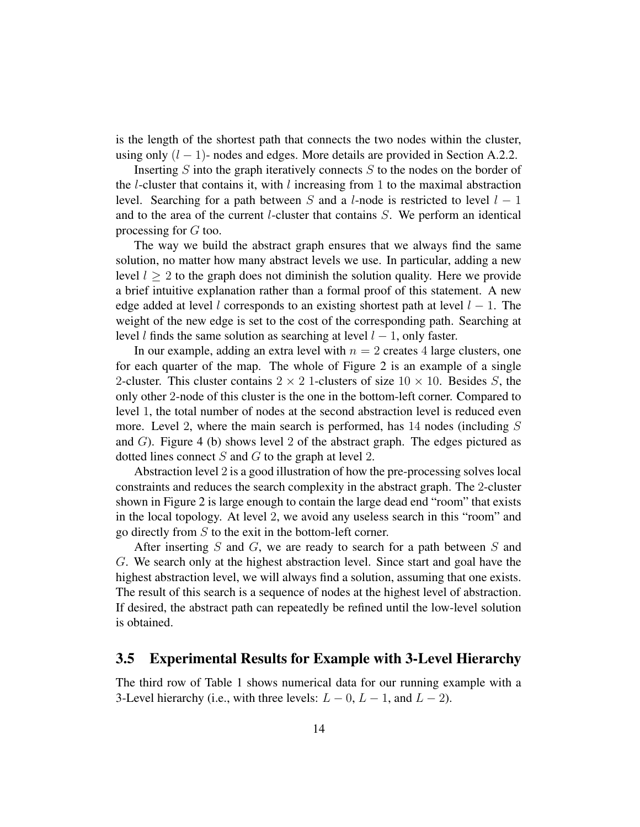is the length of the shortest path that connects the two nodes within the cluster, using only  $(l - 1)$ - nodes and edges. More details are provided in Section A.2.2.

Inserting  $S$  into the graph iteratively connects  $S$  to the nodes on the border of the l-cluster that contains it, with l increasing from 1 to the maximal abstraction level. Searching for a path between S and a l-node is restricted to level  $l - 1$ and to the area of the current l-cluster that contains S. We perform an identical processing for G too.

The way we build the abstract graph ensures that we always find the same solution, no matter how many abstract levels we use. In particular, adding a new level  $l \geq 2$  to the graph does not diminish the solution quality. Here we provide a brief intuitive explanation rather than a formal proof of this statement. A new edge added at level l corresponds to an existing shortest path at level  $l - 1$ . The weight of the new edge is set to the cost of the corresponding path. Searching at level l finds the same solution as searching at level  $l - 1$ , only faster.

In our example, adding an extra level with  $n = 2$  creates 4 large clusters, one for each quarter of the map. The whole of Figure 2 is an example of a single 2-cluster. This cluster contains  $2 \times 2$  1-clusters of size  $10 \times 10$ . Besides S, the only other 2-node of this cluster is the one in the bottom-left corner. Compared to level 1, the total number of nodes at the second abstraction level is reduced even more. Level 2, where the main search is performed, has 14 nodes (including S and  $G$ ). Figure 4 (b) shows level 2 of the abstract graph. The edges pictured as dotted lines connect  $S$  and  $G$  to the graph at level 2.

Abstraction level 2 is a good illustration of how the pre-processing solves local constraints and reduces the search complexity in the abstract graph. The 2-cluster shown in Figure 2 is large enough to contain the large dead end "room" that exists in the local topology. At level 2, we avoid any useless search in this "room" and go directly from S to the exit in the bottom-left corner.

After inserting  $S$  and  $G$ , we are ready to search for a path between  $S$  and G. We search only at the highest abstraction level. Since start and goal have the highest abstraction level, we will always find a solution, assuming that one exists. The result of this search is a sequence of nodes at the highest level of abstraction. If desired, the abstract path can repeatedly be refined until the low-level solution is obtained.

### **3.5 Experimental Results for Example with 3-Level Hierarchy**

The third row of Table 1 shows numerical data for our running example with a 3-Level hierarchy (i.e., with three levels:  $L - 0$ ,  $L - 1$ , and  $L - 2$ ).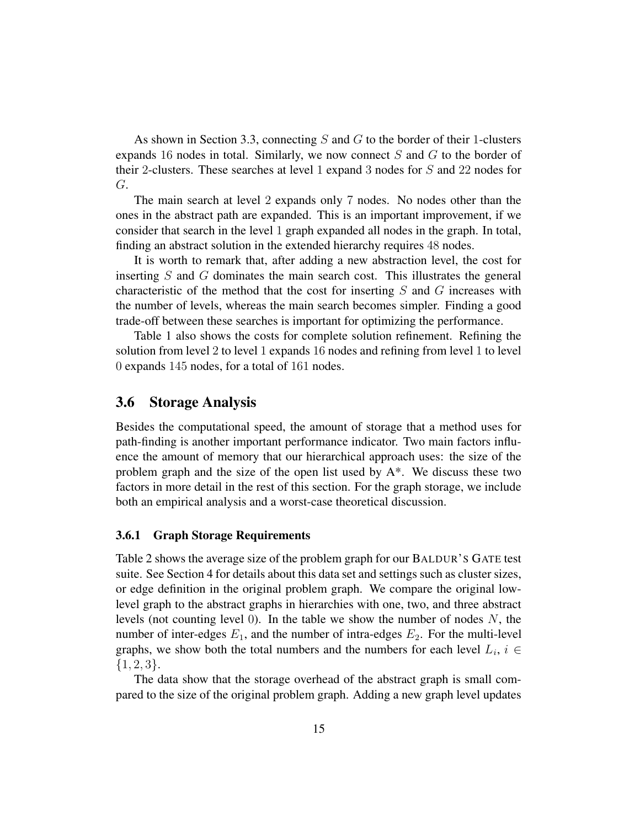As shown in Section 3.3, connecting S and G to the border of their 1-clusters expands 16 nodes in total. Similarly, we now connect  $S$  and  $G$  to the border of their 2-clusters. These searches at level 1 expand 3 nodes for S and 22 nodes for G.

The main search at level 2 expands only 7 nodes. No nodes other than the ones in the abstract path are expanded. This is an important improvement, if we consider that search in the level 1 graph expanded all nodes in the graph. In total, finding an abstract solution in the extended hierarchy requires 48 nodes.

It is worth to remark that, after adding a new abstraction level, the cost for inserting S and G dominates the main search cost. This illustrates the general characteristic of the method that the cost for inserting  $S$  and  $G$  increases with the number of levels, whereas the main search becomes simpler. Finding a good trade-off between these searches is important for optimizing the performance.

Table 1 also shows the costs for complete solution refinement. Refining the solution from level 2 to level 1 expands 16 nodes and refining from level 1 to level 0 expands 145 nodes, for a total of 161 nodes.

### **3.6 Storage Analysis**

Besides the computational speed, the amount of storage that a method uses for path-finding is another important performance indicator. Two main factors influence the amount of memory that our hierarchical approach uses: the size of the problem graph and the size of the open list used by A\*. We discuss these two factors in more detail in the rest of this section. For the graph storage, we include both an empirical analysis and a worst-case theoretical discussion.

#### **3.6.1 Graph Storage Requirements**

Table 2 shows the average size of the problem graph for our BALDUR'S GATE test suite. See Section 4 for details about this data set and settings such as cluster sizes, or edge definition in the original problem graph. We compare the original lowlevel graph to the abstract graphs in hierarchies with one, two, and three abstract levels (not counting level 0). In the table we show the number of nodes  $N$ , the number of inter-edges  $E_1$ , and the number of intra-edges  $E_2$ . For the multi-level graphs, we show both the total numbers and the numbers for each level  $L_i$ ,  $i \in$  $\{1, 2, 3\}.$ 

The data show that the storage overhead of the abstract graph is small compared to the size of the original problem graph. Adding a new graph level updates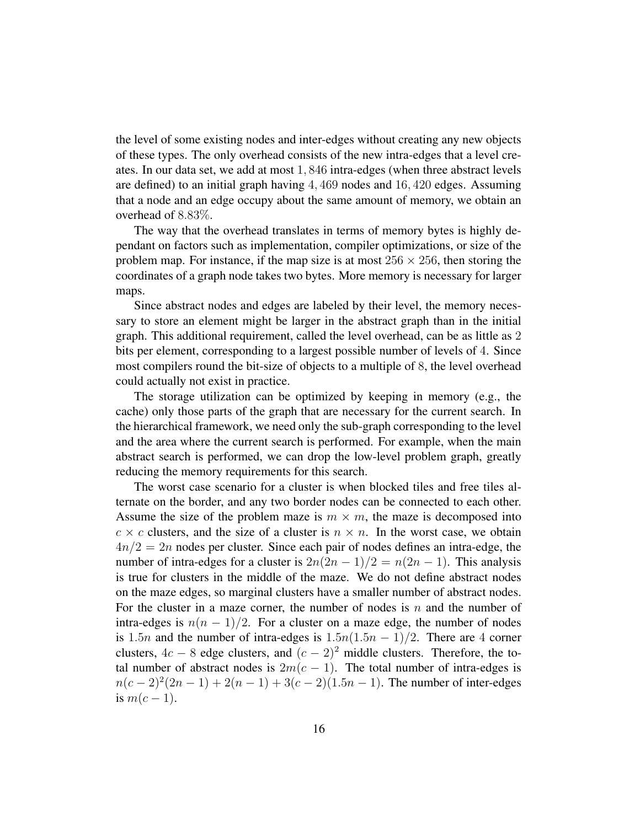the level of some existing nodes and inter-edges without creating any new objects of these types. The only overhead consists of the new intra-edges that a level creates. In our data set, we add at most 1, 846 intra-edges (when three abstract levels are defined) to an initial graph having 4, 469 nodes and 16, 420 edges. Assuming that a node and an edge occupy about the same amount of memory, we obtain an overhead of 8.83%.

The way that the overhead translates in terms of memory bytes is highly dependant on factors such as implementation, compiler optimizations, or size of the problem map. For instance, if the map size is at most  $256 \times 256$ , then storing the coordinates of a graph node takes two bytes. More memory is necessary for larger maps.

Since abstract nodes and edges are labeled by their level, the memory necessary to store an element might be larger in the abstract graph than in the initial graph. This additional requirement, called the level overhead, can be as little as 2 bits per element, corresponding to a largest possible number of levels of 4. Since most compilers round the bit-size of objects to a multiple of 8, the level overhead could actually not exist in practice.

The storage utilization can be optimized by keeping in memory (e.g., the cache) only those parts of the graph that are necessary for the current search. In the hierarchical framework, we need only the sub-graph corresponding to the level and the area where the current search is performed. For example, when the main abstract search is performed, we can drop the low-level problem graph, greatly reducing the memory requirements for this search.

The worst case scenario for a cluster is when blocked tiles and free tiles alternate on the border, and any two border nodes can be connected to each other. Assume the size of the problem maze is  $m \times m$ , the maze is decomposed into  $c \times c$  clusters, and the size of a cluster is  $n \times n$ . In the worst case, we obtain  $4n/2 = 2n$  nodes per cluster. Since each pair of nodes defines an intra-edge, the number of intra-edges for a cluster is  $2n(2n-1)/2 = n(2n-1)$ . This analysis is true for clusters in the middle of the maze. We do not define abstract nodes on the maze edges, so marginal clusters have a smaller number of abstract nodes. For the cluster in a maze corner, the number of nodes is n and the number of intra-edges is  $n(n - 1)/2$ . For a cluster on a maze edge, the number of nodes is 1.5*n* and the number of intra-edges is  $1.5n(1.5n - 1)/2$ . There are 4 corner clusters,  $4c - 8$  edge clusters, and  $(c - 2)^2$  middle clusters. Therefore, the total number of abstract nodes is  $2m(c - 1)$ . The total number of intra-edges is  $n(c-2)^2(2n-1) + 2(n-1) + 3(c-2)(1.5n-1)$ . The number of inter-edges is  $m(c-1)$ .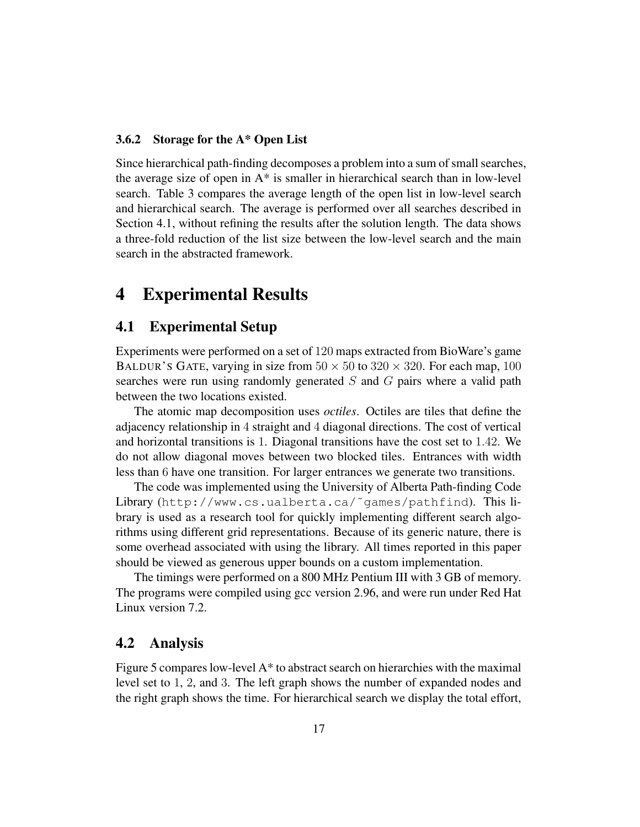#### **3.6.2 Storage for the A\* Open List**

Since hierarchical path-finding decomposes a problem into a sum of small searches, the average size of open in  $A^*$  is smaller in hierarchical search than in low-level search. Table 3 compares the average length of the open list in low-level search and hierarchical search. The average is performed over all searches described in Section 4.1, without refining the results after the solution length. The data shows a three-fold reduction of the list size between the low-level search and the main search in the abstracted framework.

## **4 Experimental Results**

### **4.1 Experimental Setup**

Experiments were performed on a set of 120 maps extracted from BioWare's game BALDUR's GATE, varying in size from  $50 \times 50$  to  $320 \times 320$ . For each map, 100 searches were run using randomly generated  $S$  and  $G$  pairs where a valid path between the two locations existed.

The atomic map decomposition uses *octiles*. Octiles are tiles that define the adjacency relationship in 4 straight and 4 diagonal directions. The cost of vertical and horizontal transitions is 1. Diagonal transitions have the cost set to 1.42. We do not allow diagonal moves between two blocked tiles. Entrances with width less than 6 have one transition. For larger entrances we generate two transitions.

The code was implemented using the University of Alberta Path-finding Code Library (http://www.cs.ualberta.ca/˜games/pathfind). This library is used as a research tool for quickly implementing different search algorithms using different grid representations. Because of its generic nature, there is some overhead associated with using the library. All times reported in this paper should be viewed as generous upper bounds on a custom implementation.

The timings were performed on a 800 MHz Pentium III with 3 GB of memory. The programs were compiled using gcc version 2.96, and were run under Red Hat Linux version 7.2.

### **4.2 Analysis**

Figure 5 compares low-level  $A^*$  to abstract search on hierarchies with the maximal level set to 1, 2, and 3. The left graph shows the number of expanded nodes and the right graph shows the time. For hierarchical search we display the total effort,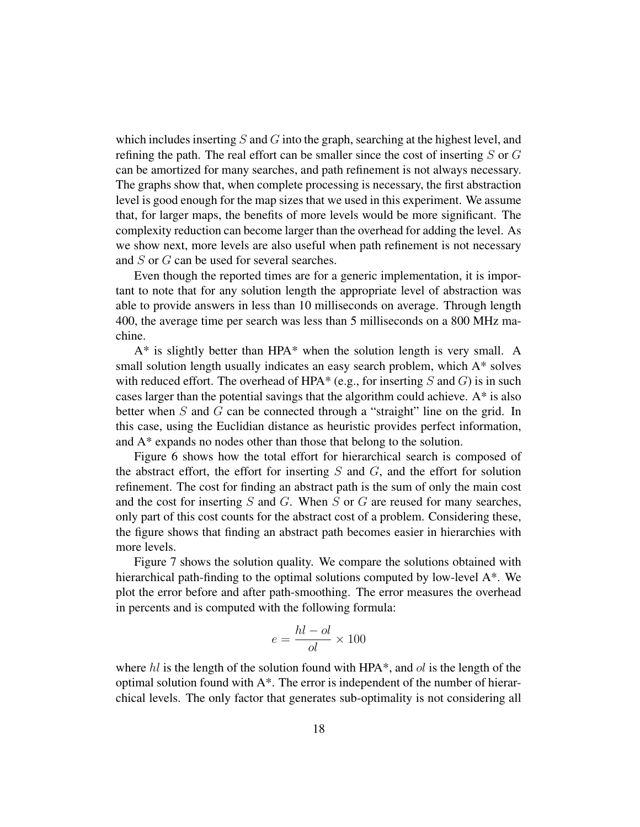which includes inserting S and G into the graph, searching at the highest level, and refining the path. The real effort can be smaller since the cost of inserting  $S$  or  $G$ can be amortized for many searches, and path refinement is not always necessary. The graphs show that, when complete processing is necessary, the first abstraction level is good enough for the map sizes that we used in this experiment. We assume that, for larger maps, the benefits of more levels would be more significant. The complexity reduction can become larger than the overhead for adding the level. As we show next, more levels are also useful when path refinement is not necessary and S or G can be used for several searches.

Even though the reported times are for a generic implementation, it is important to note that for any solution length the appropriate level of abstraction was able to provide answers in less than 10 milliseconds on average. Through length 400, the average time per search was less than 5 milliseconds on a 800 MHz machine.

 $A^*$  is slightly better than HPA $^*$  when the solution length is very small. A small solution length usually indicates an easy search problem, which A\* solves with reduced effort. The overhead of HPA\* (e.g., for inserting S and G) is in such cases larger than the potential savings that the algorithm could achieve. A\* is also better when  $S$  and  $G$  can be connected through a "straight" line on the grid. In this case, using the Euclidian distance as heuristic provides perfect information, and A\* expands no nodes other than those that belong to the solution.

Figure 6 shows how the total effort for hierarchical search is composed of the abstract effort, the effort for inserting  $S$  and  $G$ , and the effort for solution refinement. The cost for finding an abstract path is the sum of only the main cost and the cost for inserting  $S$  and  $G$ . When  $S$  or  $G$  are reused for many searches, only part of this cost counts for the abstract cost of a problem. Considering these, the figure shows that finding an abstract path becomes easier in hierarchies with more levels.

Figure 7 shows the solution quality. We compare the solutions obtained with hierarchical path-finding to the optimal solutions computed by low-level A\*. We plot the error before and after path-smoothing. The error measures the overhead in percents and is computed with the following formula:

$$
e = \frac{hl - ol}{ol} \times 100
$$

where  $hl$  is the length of the solution found with HPA\*, and  $ol$  is the length of the optimal solution found with A\*. The error is independent of the number of hierarchical levels. The only factor that generates sub-optimality is not considering all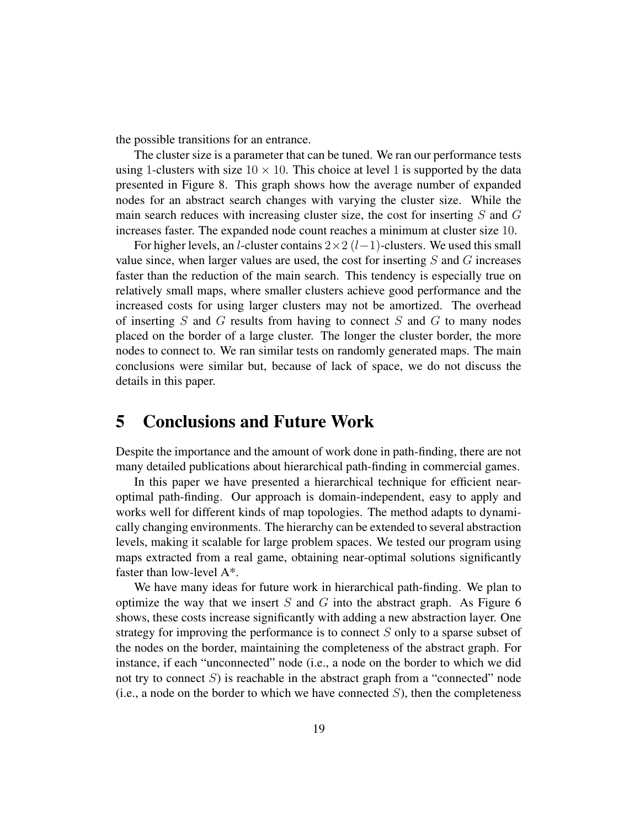the possible transitions for an entrance.

The cluster size is a parameter that can be tuned. We ran our performance tests using 1-clusters with size  $10 \times 10$ . This choice at level 1 is supported by the data presented in Figure 8. This graph shows how the average number of expanded nodes for an abstract search changes with varying the cluster size. While the main search reduces with increasing cluster size, the cost for inserting  $S$  and  $G$ increases faster. The expanded node count reaches a minimum at cluster size 10.

For higher levels, an *l*-cluster contains  $2 \times 2$  (*l*-1)-clusters. We used this small value since, when larger values are used, the cost for inserting  $S$  and  $G$  increases faster than the reduction of the main search. This tendency is especially true on relatively small maps, where smaller clusters achieve good performance and the increased costs for using larger clusters may not be amortized. The overhead of inserting  $S$  and  $G$  results from having to connect  $S$  and  $G$  to many nodes placed on the border of a large cluster. The longer the cluster border, the more nodes to connect to. We ran similar tests on randomly generated maps. The main conclusions were similar but, because of lack of space, we do not discuss the details in this paper.

## **5 Conclusions and Future Work**

Despite the importance and the amount of work done in path-finding, there are not many detailed publications about hierarchical path-finding in commercial games.

In this paper we have presented a hierarchical technique for efficient nearoptimal path-finding. Our approach is domain-independent, easy to apply and works well for different kinds of map topologies. The method adapts to dynamically changing environments. The hierarchy can be extended to several abstraction levels, making it scalable for large problem spaces. We tested our program using maps extracted from a real game, obtaining near-optimal solutions significantly faster than low-level A\*.

We have many ideas for future work in hierarchical path-finding. We plan to optimize the way that we insert  $S$  and  $G$  into the abstract graph. As Figure 6 shows, these costs increase significantly with adding a new abstraction layer. One strategy for improving the performance is to connect S only to a sparse subset of the nodes on the border, maintaining the completeness of the abstract graph. For instance, if each "unconnected" node (i.e., a node on the border to which we did not try to connect  $S$ ) is reachable in the abstract graph from a "connected" node (i.e., a node on the border to which we have connected  $S$ ), then the completeness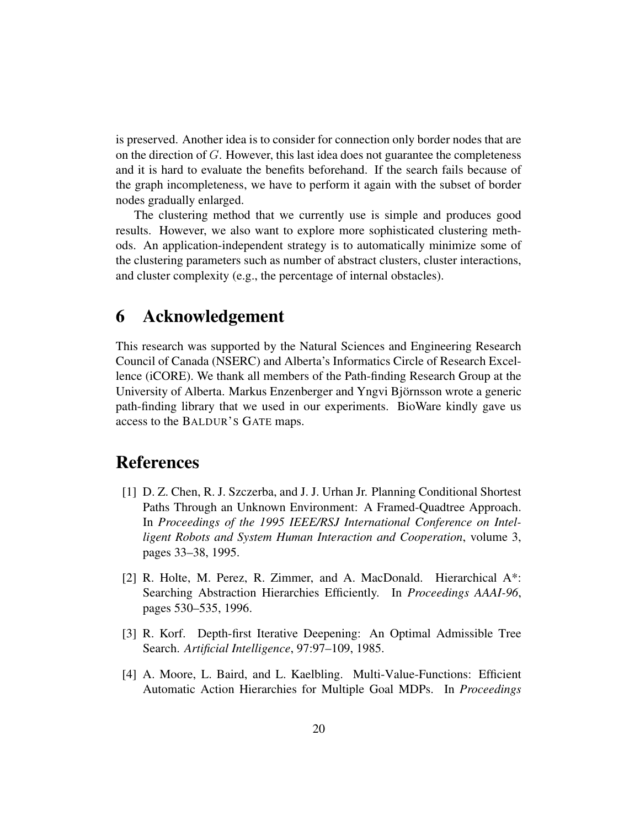is preserved. Another idea is to consider for connection only border nodes that are on the direction of G. However, this last idea does not guarantee the completeness and it is hard to evaluate the benefits beforehand. If the search fails because of the graph incompleteness, we have to perform it again with the subset of border nodes gradually enlarged.

The clustering method that we currently use is simple and produces good results. However, we also want to explore more sophisticated clustering methods. An application-independent strategy is to automatically minimize some of the clustering parameters such as number of abstract clusters, cluster interactions, and cluster complexity (e.g., the percentage of internal obstacles).

## **6 Acknowledgement**

This research was supported by the Natural Sciences and Engineering Research Council of Canada (NSERC) and Alberta's Informatics Circle of Research Excellence (iCORE). We thank all members of the Path-finding Research Group at the University of Alberta. Markus Enzenberger and Yngvi Björnsson wrote a generic path-finding library that we used in our experiments. BioWare kindly gave us access to the BALDUR'S GATE maps.

## **References**

- [1] D. Z. Chen, R. J. Szczerba, and J. J. Urhan Jr. Planning Conditional Shortest Paths Through an Unknown Environment: A Framed-Quadtree Approach. In *Proceedings of the 1995 IEEE/RSJ International Conference on Intelligent Robots and System Human Interaction and Cooperation*, volume 3, pages 33–38, 1995.
- [2] R. Holte, M. Perez, R. Zimmer, and A. MacDonald. Hierarchical A\*: Searching Abstraction Hierarchies Efficiently. In *Proceedings AAAI-96*, pages 530–535, 1996.
- [3] R. Korf. Depth-first Iterative Deepening: An Optimal Admissible Tree Search. *Artificial Intelligence*, 97:97–109, 1985.
- [4] A. Moore, L. Baird, and L. Kaelbling. Multi-Value-Functions: Efficient Automatic Action Hierarchies for Multiple Goal MDPs. In *Proceedings*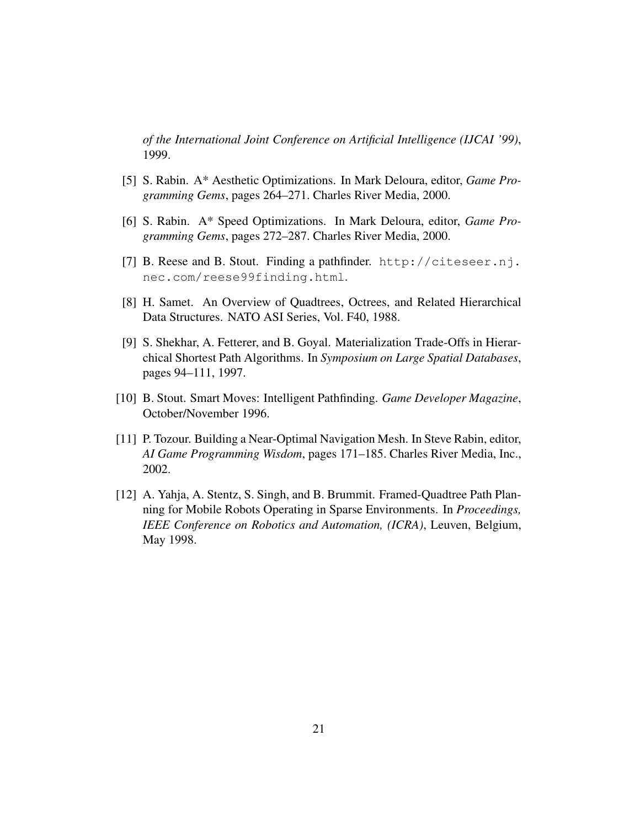*of the International Joint Conference on Artificial Intelligence (IJCAI '99)*, 1999.

- [5] S. Rabin. A\* Aesthetic Optimizations. In Mark Deloura, editor, *Game Programming Gems*, pages 264–271. Charles River Media, 2000.
- [6] S. Rabin. A\* Speed Optimizations. In Mark Deloura, editor, *Game Programming Gems*, pages 272–287. Charles River Media, 2000.
- [7] B. Reese and B. Stout. Finding a pathfinder. http://citeseer.nj. nec.com/reese99finding.html.
- [8] H. Samet. An Overview of Quadtrees, Octrees, and Related Hierarchical Data Structures. NATO ASI Series, Vol. F40, 1988.
- [9] S. Shekhar, A. Fetterer, and B. Goyal. Materialization Trade-Offs in Hierarchical Shortest Path Algorithms. In *Symposium on Large Spatial Databases*, pages 94–111, 1997.
- [10] B. Stout. Smart Moves: Intelligent Pathfinding. *Game Developer Magazine*, October/November 1996.
- [11] P. Tozour. Building a Near-Optimal Navigation Mesh. In Steve Rabin, editor, *AI Game Programming Wisdom*, pages 171–185. Charles River Media, Inc., 2002.
- [12] A. Yahja, A. Stentz, S. Singh, and B. Brummit. Framed-Quadtree Path Planning for Mobile Robots Operating in Sparse Environments. In *Proceedings, IEEE Conference on Robotics and Automation, (ICRA)*, Leuven, Belgium, May 1998.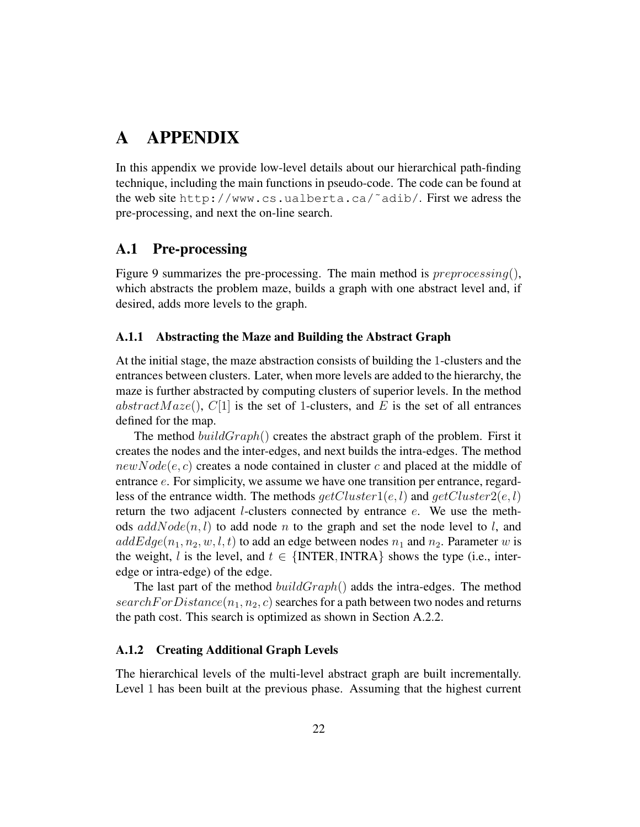# **A APPENDIX**

In this appendix we provide low-level details about our hierarchical path-finding technique, including the main functions in pseudo-code. The code can be found at the web site http://www.cs.ualberta.ca/˜adib/. First we adress the pre-processing, and next the on-line search.

## **A.1 Pre-processing**

Figure 9 summarizes the pre-processing. The main method is  $preprocessing(),$ which abstracts the problem maze, builds a graph with one abstract level and, if desired, adds more levels to the graph.

#### **A.1.1 Abstracting the Maze and Building the Abstract Graph**

At the initial stage, the maze abstraction consists of building the 1-clusters and the entrances between clusters. Later, when more levels are added to the hierarchy, the maze is further abstracted by computing clusters of superior levels. In the method abstract Maze(),  $C[1]$  is the set of 1-clusters, and E is the set of all entrances defined for the map.

The method  $buildGraph()$  creates the abstract graph of the problem. First it creates the nodes and the inter-edges, and next builds the intra-edges. The method  $newNode(e, c)$  creates a node contained in cluster c and placed at the middle of entrance e. For simplicity, we assume we have one transition per entrance, regardless of the entrance width. The methods  $getCluster1(e, l)$  and  $getCluster2(e, l)$ return the two adjacent *l*-clusters connected by entrance *e*. We use the methods  $addNode(n, l)$  to add node n to the graph and set the node level to l, and  $addEdge(n_1, n_2, w, l, t)$  to add an edge between nodes  $n_1$  and  $n_2$ . Parameter w is the weight, l is the level, and  $t \in \{INTER, INTRA\}$  shows the type (i.e., interedge or intra-edge) of the edge.

The last part of the method  $buildGraph()$  adds the intra-edges. The method  $searchFor Distance(n_1, n_2, c)$  searches for a path between two nodes and returns the path cost. This search is optimized as shown in Section A.2.2.

#### **A.1.2 Creating Additional Graph Levels**

The hierarchical levels of the multi-level abstract graph are built incrementally. Level 1 has been built at the previous phase. Assuming that the highest current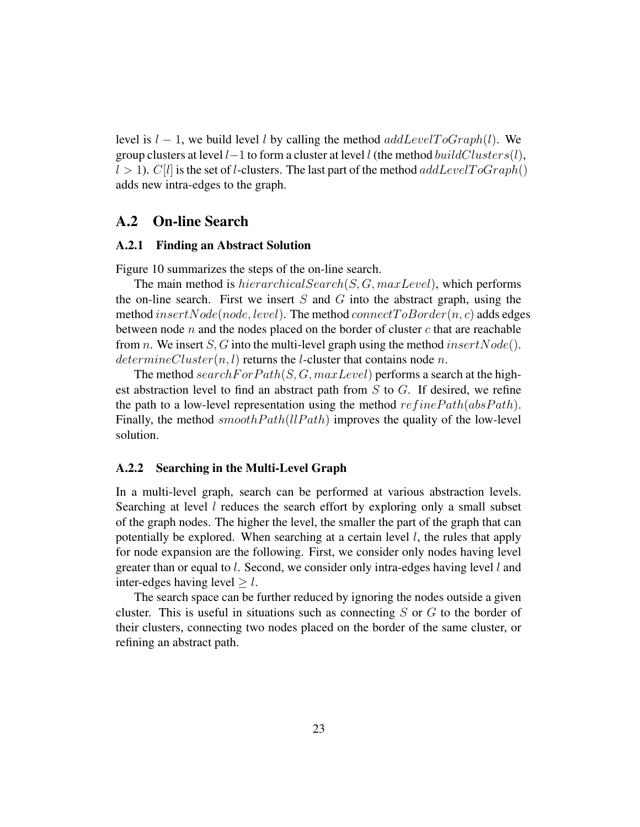level is  $l - 1$ , we build level l by calling the method  $addLevelToGraph(l)$ . We group clusters at level  $l-1$  to form a cluster at level  $l$  (the method  $buildClusters(l)$ ,  $l > 1$ ). C[l] is the set of l-clusters. The last part of the method addLevelToGraph() adds new intra-edges to the graph.

### **A.2 On-line Search**

#### **A.2.1 Finding an Abstract Solution**

Figure 10 summarizes the steps of the on-line search.

The main method is  $hierarchicalSearch(S, G, maxLevel)$ , which performs the on-line search. First we insert  $S$  and  $G$  into the abstract graph, using the method insert Node(node, level). The method connect  $To Border(n, c)$  adds edges between node n and the nodes placed on the border of cluster c that are reachable from *n*. We insert *S*, *G* into the multi-level graph using the method  $insertNode()$ .  $determineCluster(n, l)$  returns the l-cluster that contains node n.

The method search For  $Path(S, G, maxLevel)$  performs a search at the highest abstraction level to find an abstract path from  $S$  to  $G$ . If desired, we refine the path to a low-level representation using the method  $refinePath(absPath)$ . Finally, the method  $smoothPath(lPath)$  improves the quality of the low-level solution.

#### **A.2.2 Searching in the Multi-Level Graph**

In a multi-level graph, search can be performed at various abstraction levels. Searching at level  $l$  reduces the search effort by exploring only a small subset of the graph nodes. The higher the level, the smaller the part of the graph that can potentially be explored. When searching at a certain level  $l$ , the rules that apply for node expansion are the following. First, we consider only nodes having level greater than or equal to l. Second, we consider only intra-edges having level l and inter-edges having level  $\geq l$ .

The search space can be further reduced by ignoring the nodes outside a given cluster. This is useful in situations such as connecting  $S$  or  $G$  to the border of their clusters, connecting two nodes placed on the border of the same cluster, or refining an abstract path.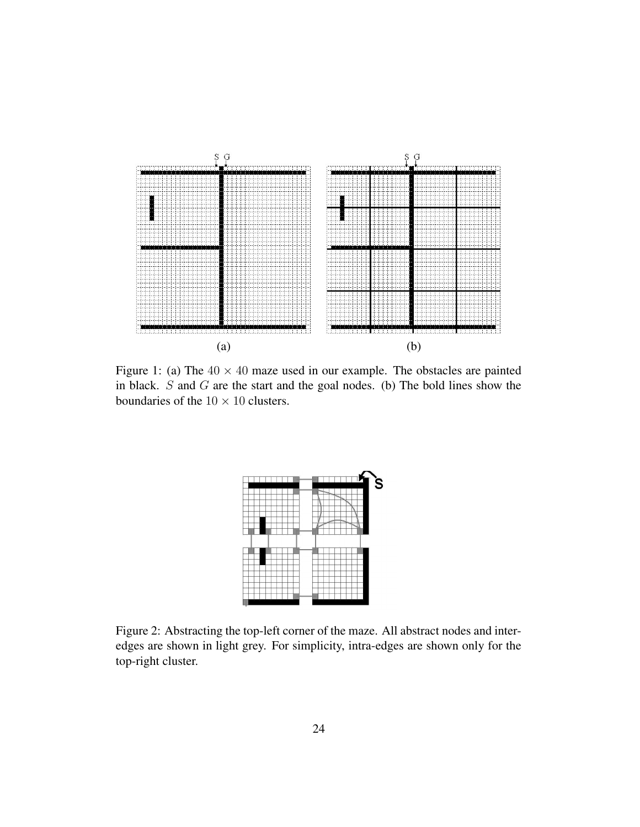

Figure 1: (a) The  $40 \times 40$  maze used in our example. The obstacles are painted in black. S and G are the start and the goal nodes. (b) The bold lines show the boundaries of the  $10 \times 10$  clusters.



Figure 2: Abstracting the top-left corner of the maze. All abstract nodes and interedges are shown in light grey. For simplicity, intra-edges are shown only for the top-right cluster.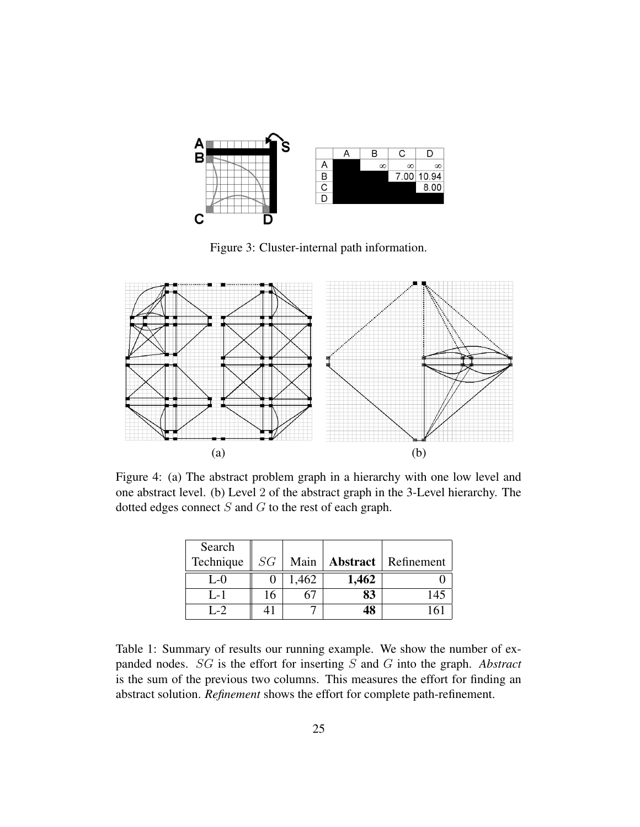

Figure 3: Cluster-internal path information.



Figure 4: (a) The abstract problem graph in a hierarchy with one low level and one abstract level. (b) Level 2 of the abstract graph in the 3-Level hierarchy. The dotted edges connect  $S$  and  $G$  to the rest of each graph.

| Search      |    |       |                 |            |
|-------------|----|-------|-----------------|------------|
| Technique   | SG | Main  | <b>Abstract</b> | Refinement |
| L- $\Omega$ |    | 1,462 | 1,462           |            |
| $L-1$       | 16 |       | 83              |            |
| $L - 2$     |    |       | 48              |            |

Table 1: Summary of results our running example. We show the number of expanded nodes. SG is the effort for inserting S and G into the graph. *Abstract* is the sum of the previous two columns. This measures the effort for finding an abstract solution. *Refinement* shows the effort for complete path-refinement.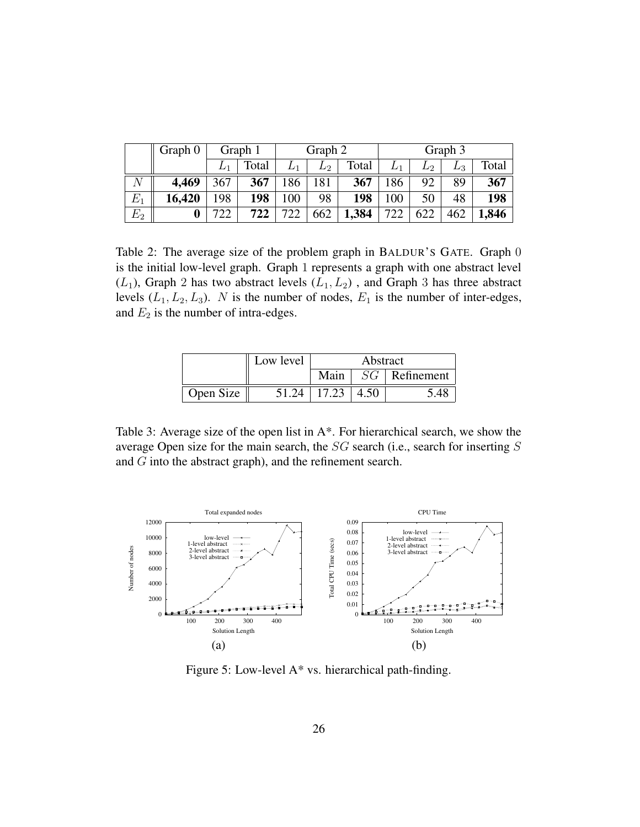|         | Graph 0 | Graph 1 |       | Graph 2 |       | Graph 3 |       |       |       |       |
|---------|---------|---------|-------|---------|-------|---------|-------|-------|-------|-------|
|         |         |         | Total |         | $L_2$ | Total   | $L_1$ | $L_2$ | $L_3$ | Total |
|         | 4,469   | 367     | 367   | 186     | 181   | 367     | 86    | 92    | 89    | 367   |
| $E_1$   | 16,420  | 198     | 198   | 100     | 98    | 198     | 00    | 50    | 48    | 198   |
| $E_2\,$ |         |         | 722   | 722     | 662   | 1,384   | 722   | 622   | 462   | 1,846 |

Table 2: The average size of the problem graph in BALDUR'S GATE. Graph 0 is the initial low-level graph. Graph 1 represents a graph with one abstract level  $(L_1)$ , Graph 2 has two abstract levels  $(L_1, L_2)$ , and Graph 3 has three abstract levels  $(L_1, L_2, L_3)$ . N is the number of nodes,  $E_1$  is the number of inter-edges, and  $E_2$  is the number of intra-edges.

|           | Low level | Abstract |    |            |  |
|-----------|-----------|----------|----|------------|--|
|           |           | Main     | SG | Refinement |  |
| Open Size | 51.24     | 17.23    |    |            |  |

Table 3: Average size of the open list in A\*. For hierarchical search, we show the average Open size for the main search, the SG search (i.e., search for inserting S and G into the abstract graph), and the refinement search.



Figure 5: Low-level A\* vs. hierarchical path-finding.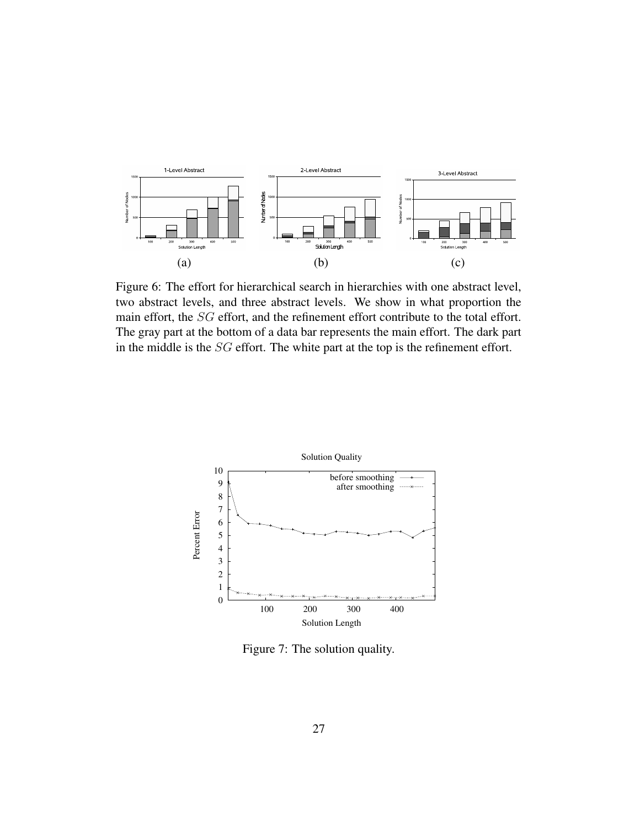

Figure 6: The effort for hierarchical search in hierarchies with one abstract level, two abstract levels, and three abstract levels. We show in what proportion the main effort, the SG effort, and the refinement effort contribute to the total effort. The gray part at the bottom of a data bar represents the main effort. The dark part in the middle is the SG effort. The white part at the top is the refinement effort.



Figure 7: The solution quality.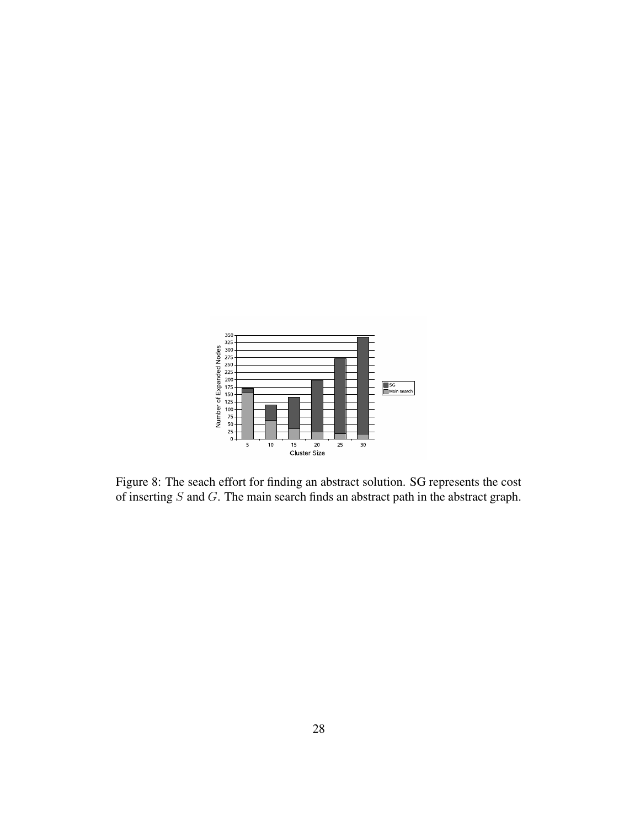

Figure 8: The seach effort for finding an abstract solution. SG represents the cost of inserting  $S$  and  $G$ . The main search finds an abstract path in the abstract graph.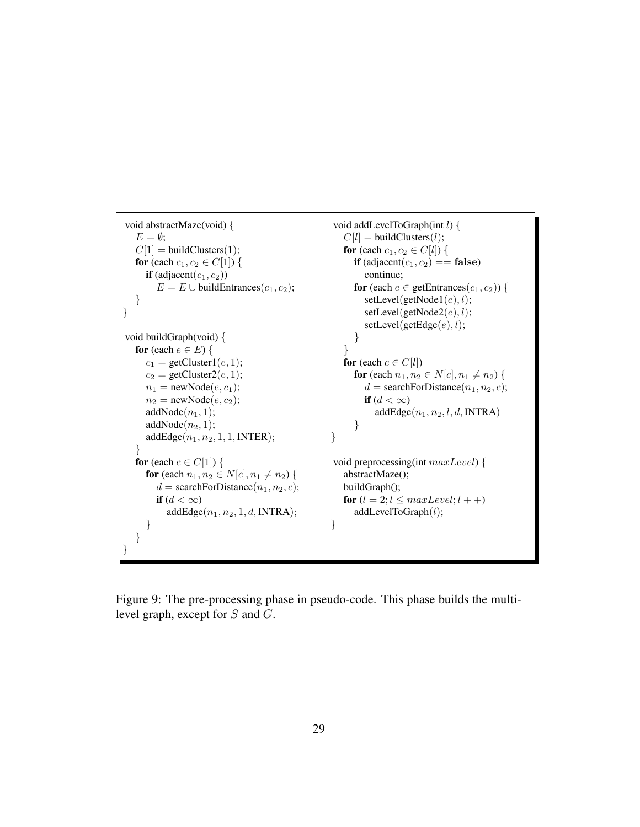```
void abstractMaze(void) {
   E = \emptyset;
   C[1] = \text{buildClusters}(1);for (each c_1, c_2 \in C[1]) {
      if (adjacent(c_1, c_2))
        E = E \cup \text{buildEntries}(c_1, c_2);}
}
void buildGraph(void) {
   for (each e \in E) {
      c_1 = getCluster1(e, 1);
      c_2 = getCluster2(e, 1);
      n_1 = newNode(e, c_1);
      n_2 = newNode(e, c_2);
      addNode(n_1, 1);addNode(n_2, 1);addEdge(n_1, n_2, 1, 1, INTER);}
    for (each c \in C[1]) {
      for (each n_1, n_2 \in N[c], n_1 \neq n_2) {
        d = \text{searchForDistance}(n_1, n_2, c);if (d < \infty)addEdge(n_1, n_2, 1, d, INTRA);}
   }
}
                                                      void addLevelToGraph(int l) {
                                                         C[l] = \text{buildClusters}(l);for (each c_1, c_2 \in C[l]) {
                                                           if (adjacent(c_1, c_2) == false)
                                                              continue;
                                                           for (each e \in getEntrances(c_1, c_2)) {
                                                              setLevel(getNode1(e), l);setLevel(getNode2(e), l);setLevel(getEdge(e), l);}
                                                         }
                                                         for (each c \in C[l])
                                                           for (each n_1, n_2 \in N[c], n_1 \neq n_2) {
                                                              d = searchForDistance(n_1, n_2, c);
                                                              if (d < \infty)addEdge(n_1, n_2, l, d, INTRA)}
                                                     }
                                                      void preprocessing(int maxLevel) {
                                                         abstractMaze();
                                                         buildGraph();
                                                         for (l = 2; l \leq maxLevel; l++)addLevelToGraph(l);
                                                     }
```
Figure 9: The pre-processing phase in pseudo-code. This phase builds the multilevel graph, except for S and G.